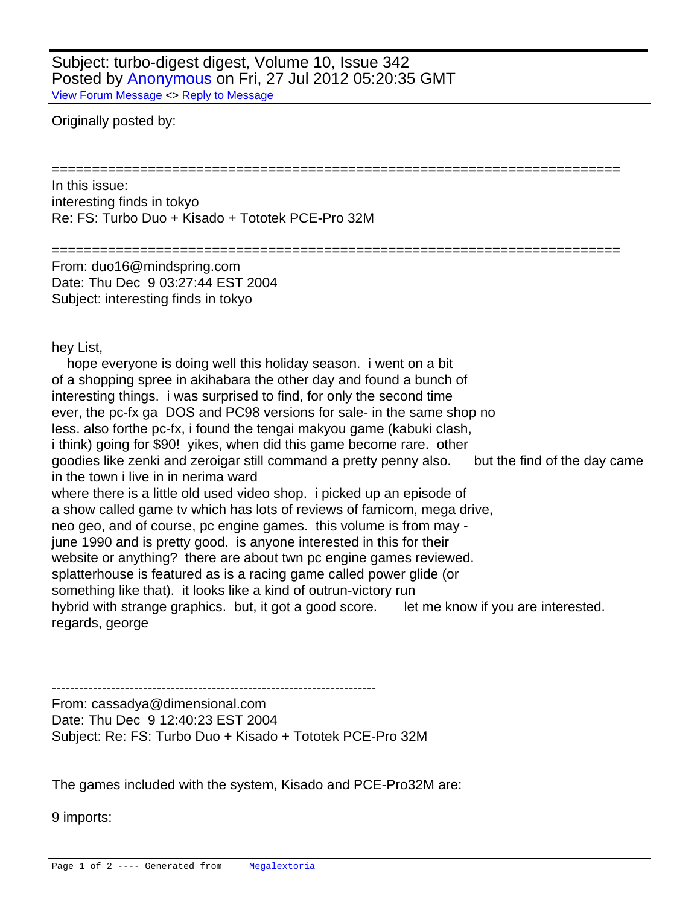Subject: turbo-digest digest, Volume 10, Issue 342 Posted by [Anonymous](http://www.megalextoria.com/forum2/index.php?t=usrinfo&id=) on Fri, 27 Jul 2012 05:20:35 GMT [View Forum Message](http://www.megalextoria.com/forum2/index.php?t=rview&th=4031&goto=4833#msg_4833) <> [Reply to Message](http://www.megalextoria.com/forum2/index.php?t=post&reply_to=4833)

Originally posted by:

In this issue:

 interesting finds in tokyo Re: FS: Turbo Duo + Kisado + Tototek PCE-Pro 32M

======================================================================= From: duo16@mindspring.com Date: Thu Dec 9 03:27:44 EST 2004 Subject: interesting finds in tokyo

hey List,

 hope everyone is doing well this holiday season. i went on a bit of a shopping spree in akihabara the other day and found a bunch of interesting things. i was surprised to find, for only the second time ever, the pc-fx ga DOS and PC98 versions for sale- in the same shop no less. also forthe pc-fx, i found the tengai makyou game (kabuki clash, i think) going for \$90! yikes, when did this game become rare. other goodies like zenki and zeroigar still command a pretty penny also. but the find of the day came in the town i live in in nerima ward where there is a little old used video shop. i picked up an episode of a show called game tv which has lots of reviews of famicom, mega drive, neo geo, and of course, pc engine games. this volume is from may june 1990 and is pretty good. is anyone interested in this for their website or anything? there are about twn pc engine games reviewed. splatterhouse is featured as is a racing game called power glide (or something like that). it looks like a kind of outrun-victory run hybrid with strange graphics. but, it got a good score. let me know if you are interested. regards, george

=======================================================================

----------------------------------------------------------------------- From: cassadya@dimensional.com Date: Thu Dec 9 12:40:23 EST 2004 Subject: Re: FS: Turbo Duo + Kisado + Tototek PCE-Pro 32M

The games included with the system, Kisado and PCE-Pro32M are:

9 imports: